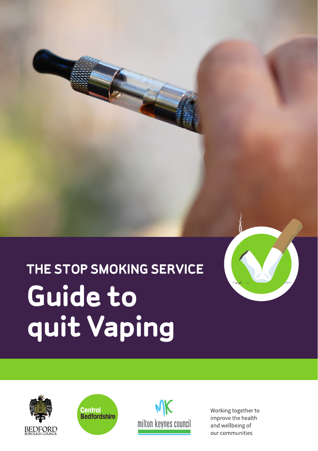# **THE STOP SMOKING SERVICE Guide to quit Vaping**







Working together to improve the health and wellbeing of our communities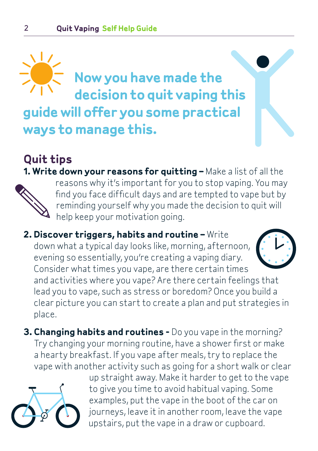### **Now you have made the decision to quit vaping this guide will offer you some practical ways to manage this.**

#### **Quit tips 1. Write down your reasons for quitting –** Make a list of all the



reasons why it's important for you to stop vaping. You may find you face difficult days and are tempted to vape but by reminding yourself why you made the decision to quit will help keep your motivation going.

**2. Discover triggers, habits and routine –** Write down what a typical day looks like, morning, afternoon, evening so essentially, you're creating a vaping diary. Consider what times you vape, are there certain times and activities where you vape? Are there certain feelings that lead you to vape, such as stress or boredom? Once you build a clear picture you can start to create a plan and put strategies in

place.

**3. Changing habits and routines -** Do you vape in the morning? Try changing your morning routine, have a shower first or make a hearty breakfast. If you vape after meals, try to replace the vape with another activity such as going for a short walk or clear



up straight away. Make it harder to get to the vape to give you time to avoid habitual vaping. Some examples, put the vape in the boot of the car on journeys, leave it in another room, leave the vape upstairs, put the vape in a draw or cupboard.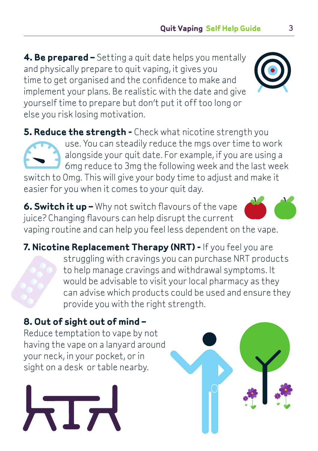**4. Be prepared –** Setting a quit date helps you mentally and physically prepare to quit vaping, it gives you time to get organised and the confidence to make and implement your plans. Be realistic with the date and give yourself time to prepare but don't put it off too long or else you risk losing motivation.

**5. Reduce the strength -** Check what nicotine strength you use. You can steadily reduce the mgs over time to work alongside your quit date. For example, if you are using a 6mg reduce to 3mg the following week and the last week switch to 0mg. This will give your body time to adjust and make it easier for you when it comes to your quit day.

**6. Switch it up –** Why not switch flavours of the vape juice? Changing flavours can help disrupt the current vaping routine and can help you feel less dependent on the vape.

**7. Nicotine Replacement Therapy (NRT) -** If you feel you are struggling with cravings you can purchase NRT products to help manage cravings and withdrawal symptoms. It would be advisable to visit your local pharmacy as they can advise which products could be used and ensure they provide you with the right strength.

#### **8. Out of sight out of mind –**

 $\sqrt{7}$ 

Reduce temptation to vape by not having the vape on a lanyard around your neck, in your pocket, or in sight on a desk or table nearby.